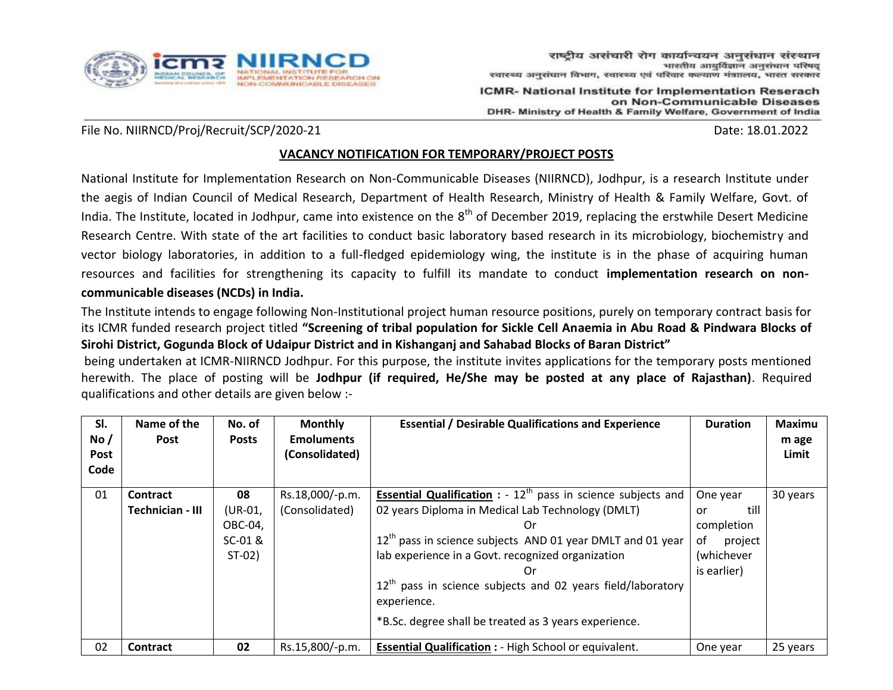

ICMR- National Institute for Implementation Reserach on Non-Communicable Diseases DHR- Ministry of Health & Family Welfare, Government of India

#### File No. NIIRNCD/Proj/Recruit/SCP/2020-21 Date: 18.01.2022

#### **VACANCY NOTIFICATION FOR TEMPORARY/PROJECT POSTS**

National Institute for Implementation Research on Non-Communicable Diseases (NIIRNCD), Jodhpur, is a research Institute under the aegis of Indian Council of Medical Research, Department of Health Research, Ministry of Health & Family Welfare, Govt. of India. The Institute, located in Jodhpur, came into existence on the 8<sup>th</sup> of December 2019, replacing the erstwhile Desert Medicine Research Centre. With state of the art facilities to conduct basic laboratory based research in its microbiology, biochemistry and vector biology laboratories, in addition to a full-fledged epidemiology wing, the institute is in the phase of acquiring human resources and facilities for strengthening its capacity to fulfill its mandate to conduct **implementation research on noncommunicable diseases (NCDs) in India.** 

The Institute intends to engage following Non-Institutional project human resource positions, purely on temporary contract basis for its ICMR funded research project titled **"Screening of tribal population for Sickle Cell Anaemia in Abu Road & Pindwara Blocks of Sirohi District, Gogunda Block of Udaipur District and in Kishanganj and Sahabad Blocks of Baran District"**

being undertaken at ICMR-NIIRNCD Jodhpur. For this purpose, the institute invites applications for the temporary posts mentioned herewith. The place of posting will be **Jodhpur (if required, He/She may be posted at any place of Rajasthan)**. Required qualifications and other details are given below :-

| SI.<br>No/<br>Post<br>Code | Name of the<br><b>Post</b>   | No. of<br><b>Posts</b>                          | <b>Monthly</b><br><b>Emoluments</b><br>(Consolidated) | <b>Essential / Desirable Qualifications and Experience</b>                                                                                                                                                                                                                                                                                                                                               | <b>Duration</b>                                                                    | <b>Maximu</b><br>m age<br>Limit |
|----------------------------|------------------------------|-------------------------------------------------|-------------------------------------------------------|----------------------------------------------------------------------------------------------------------------------------------------------------------------------------------------------------------------------------------------------------------------------------------------------------------------------------------------------------------------------------------------------------------|------------------------------------------------------------------------------------|---------------------------------|
| 01                         | Contract<br>Technician - III | 08<br>(UR-01,<br>OBC-04,<br>SC-01 &<br>$ST-02)$ | Rs.18,000/-p.m.<br>(Consolidated)                     | <b>Essential Qualification</b> : - $12^{th}$ pass in science subjects and<br>02 years Diploma in Medical Lab Technology (DMLT)<br>0r<br>$12th$ pass in science subjects AND 01 year DMLT and 01 year<br>lab experience in a Govt. recognized organization<br>0r<br>$12th$ pass in science subjects and 02 years field/laboratory<br>experience.<br>*B.Sc. degree shall be treated as 3 years experience. | One year<br>till<br>or<br>completion<br>of<br>project<br>(whichever<br>is earlier) | 30 years                        |
| 02                         | <b>Contract</b>              | 02                                              | Rs.15,800/-p.m.                                       | <b>Essential Qualification : - High School or equivalent.</b>                                                                                                                                                                                                                                                                                                                                            | One year                                                                           | 25 years                        |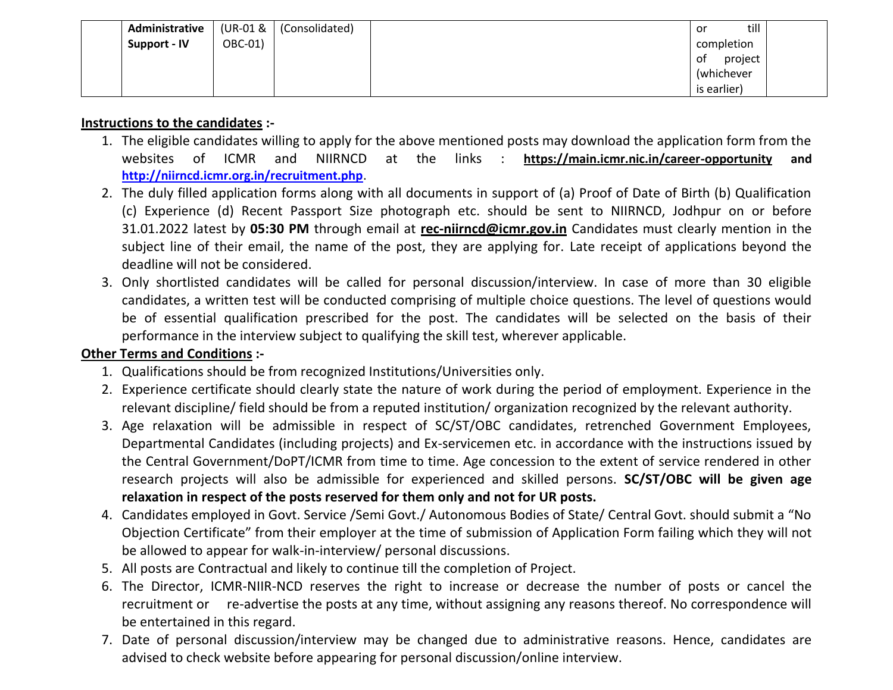| Administrative |         | $(UR-01 &   (Consolidated))$ | till<br>or    |  |
|----------------|---------|------------------------------|---------------|--|
| Support - IV   | OBC-01) |                              | completion    |  |
|                |         |                              | project<br>0t |  |
|                |         |                              | (whichever    |  |
|                |         |                              | is earlier)   |  |

#### **Instructions to the candidates :-**

- 1. The eligible candidates willing to apply for the above mentioned posts may download the application form from the websites of ICMR and NIIRNCD at the links : **https://main.icmr.nic.in/career-opportunity and <http://niirncd.icmr.org.in/recruitment.php>**.
- 2. The duly filled application forms along with all documents in support of (a) Proof of Date of Birth (b) Qualification (c) Experience (d) Recent Passport Size photograph etc. should be sent to NIIRNCD, Jodhpur on or before 31.01.2022 latest by **05:30 PM** through email at **rec-niirncd@icmr.gov.in** Candidates must clearly mention in the subject line of their email, the name of the post, they are applying for. Late receipt of applications beyond the deadline will not be considered.
- 3. Only shortlisted candidates will be called for personal discussion/interview. In case of more than 30 eligible candidates, a written test will be conducted comprising of multiple choice questions. The level of questions would be of essential qualification prescribed for the post. The candidates will be selected on the basis of their performance in the interview subject to qualifying the skill test, wherever applicable.

### **Other Terms and Conditions :-**

- 1. Qualifications should be from recognized Institutions/Universities only.
- 2. Experience certificate should clearly state the nature of work during the period of employment. Experience in the relevant discipline/ field should be from a reputed institution/ organization recognized by the relevant authority.
- 3. Age relaxation will be admissible in respect of SC/ST/OBC candidates, retrenched Government Employees, Departmental Candidates (including projects) and Ex-servicemen etc. in accordance with the instructions issued by the Central Government/DoPT/ICMR from time to time. Age concession to the extent of service rendered in other research projects will also be admissible for experienced and skilled persons. **SC/ST/OBC will be given age relaxation in respect of the posts reserved for them only and not for UR posts.**
- 4. Candidates employed in Govt. Service /Semi Govt./ Autonomous Bodies of State/ Central Govt. should submit a "No Objection Certificate" from their employer at the time of submission of Application Form failing which they will not be allowed to appear for walk-in-interview/ personal discussions.
- 5. All posts are Contractual and likely to continue till the completion of Project.
- 6. The Director, ICMR-NIIR-NCD reserves the right to increase or decrease the number of posts or cancel the recruitment or re-advertise the posts at any time, without assigning any reasons thereof. No correspondence will be entertained in this regard.
- 7. Date of personal discussion/interview may be changed due to administrative reasons. Hence, candidates are advised to check website before appearing for personal discussion/online interview.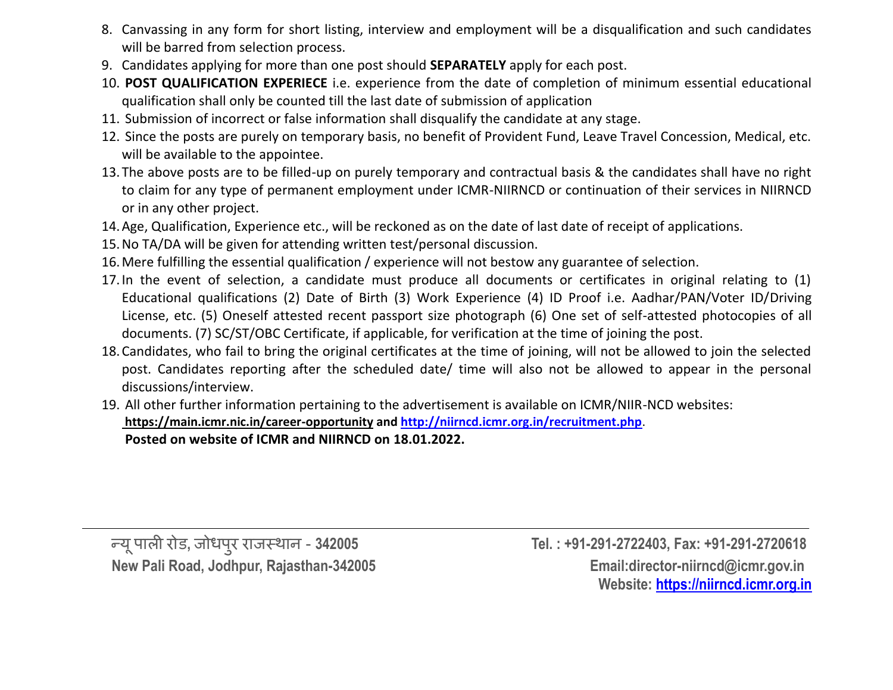- 8. Canvassing in any form for short listing, interview and employment will be a disqualification and such candidates will be barred from selection process.
- 9. Candidates applying for more than one post should **SEPARATELY** apply for each post.
- 10. **POST QUALIFICATION EXPERIECE** i.e. experience from the date of completion of minimum essential educational qualification shall only be counted till the last date of submission of application
- 11. Submission of incorrect or false information shall disqualify the candidate at any stage.
- 12. Since the posts are purely on temporary basis, no benefit of Provident Fund, Leave Travel Concession, Medical, etc. will be available to the appointee.
- 13.The above posts are to be filled-up on purely temporary and contractual basis & the candidates shall have no right to claim for any type of permanent employment under ICMR-NIIRNCD or continuation of their services in NIIRNCD or in any other project.
- 14.Age, Qualification, Experience etc., will be reckoned as on the date of last date of receipt of applications.
- 15.No TA/DA will be given for attending written test/personal discussion.
- 16.Mere fulfilling the essential qualification / experience will not bestow any guarantee of selection.
- 17.In the event of selection, a candidate must produce all documents or certificates in original relating to (1) Educational qualifications (2) Date of Birth (3) Work Experience (4) ID Proof i.e. Aadhar/PAN/Voter ID/Driving License, etc. (5) Oneself attested recent passport size photograph (6) One set of self-attested photocopies of all documents. (7) SC/ST/OBC Certificate, if applicable, for verification at the time of joining the post.
- 18.Candidates, who fail to bring the original certificates at the time of joining, will not be allowed to join the selected post. Candidates reporting after the scheduled date/ time will also not be allowed to appear in the personal discussions/interview.
- 19. All other further information pertaining to the advertisement is available on ICMR/NIIR-NCD websites: **https://main.icmr.nic.in/career-opportunity and<http://niirncd.icmr.org.in/recruitment.php>**. **Posted on website of ICMR and NIIRNCD on 18.01.2022.**

न्यू प

पाली रोड**,** जोधपरु राजस्थान - **342005 Tel. : +91-291-2722403, Fax: +91-291-2720618 New Pali Road, Jodhpur, Rajasthan-342005 Email:director-niirncd@icmr.gov.in Website: [https://niirncd.icmr.org.in](https://niirncd.icmr.org.in/)**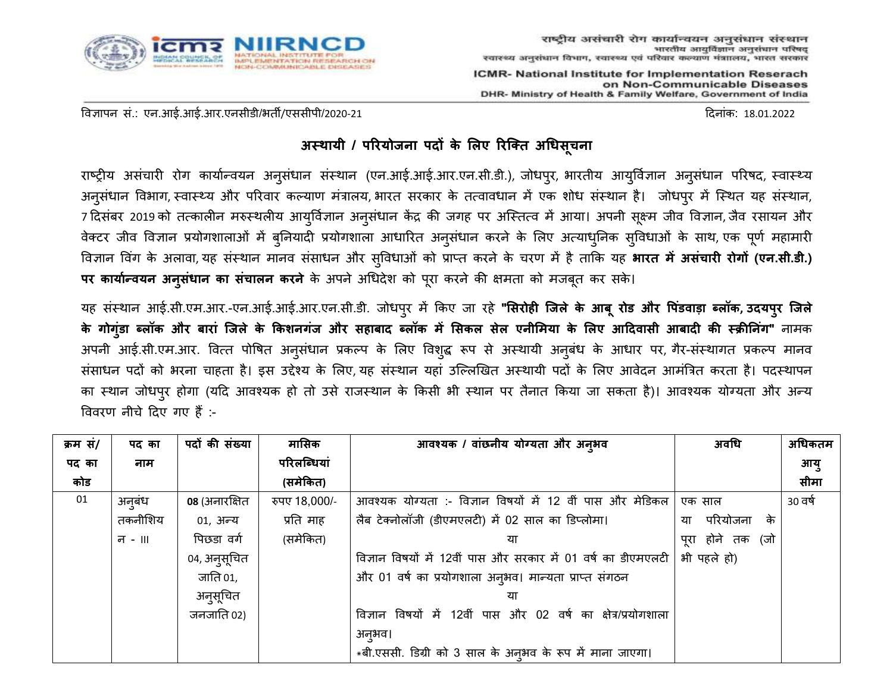

ICMR- National Institute for Implementation Reserach on Non-Communicable Diseases DHR- Ministry of Health & Family Welfare, Government of India

विज्ञापन सं.: एन.आई.आई.आर.एनसीडी/भर्ती/एससीपी/2020-21 दिनांक: 18.01.2022

# **अस्थायी / परियोजना पदों के लिए रिक्ति अधिसूचना**

राष्ट्रीय असंचारी रोग कार्यान्वयन अनुसंधान संस्थान (एन.आई.आई.आर.एन.सी.डी.), जोधपुर, भारतीय आयुर्विज्ञान अनुसंधान परिषद, स्वास्थ्य अनुसंधान विभाग, स्वास्थ्य और परिवार कल्याण मंत्रालय, भारत सरकार के तत्वावधान में एक शोध संस्थान है। जोधपुर में स्थित यह संस्थान, 7 दिसंबर 2019 को तत्कालीन मरुस्थलीय आयुर्विज्ञान अनुसंधान केंद्र की जगह पर अस्तित्व में आया। अपनी सूक्ष्म जीव विज्ञान, जैव रसायन और वेक्टर जीव विज्ञान प्रयोगशालाओं में बुनियादी प्रयोगशाला आधारित अनुसंधान करने के लिए अत्याधुनिक सुविधाओं के साथ, एक पूर्ण महामारी विज्ञान विंग के अलावा, यह संस्थान मानव संसाधन और सविधाओं को प्राप्त करने के चरण में है ताकि यह **भारत में असंचारी रोगों (एन.सी.डी.) पि कायाान्वयन अनसु िं ान का सचं ािन किने** के अपने अधधिेश को परूा करने की क्षमर्ता को मजबर्तू कर सके।

यह संस्थान आई.सी.एम.आर.-एन.आई.आई.आर.एन.सी.डी. जोधपरु में ककए जा रहे **"लसिोही क्जिे के आबूिोड औि पपडं वाडा ब्िॉक, उदयपिु क्जिे** के गोग्ंडा ब्लॉक और बारां जिले के किशनगंज और सहाबाद ब्लॉक में सिकल सेल एनीमिया के लिए आदिवासी आबादी की स्क्रीनिंग" नामक अपनी आई.सी.एम.आर. वित्त पोषित अनुसंधान प्रकल्प के लिए विशुद्ध रूप से अस्थायी अनुबंध के आधार पर, गैर-संस्थागत प्रकल्प मानव संसाधन पदों को भरना चाहता है। इस उद्देश्य के लिए, यह संस्थान यहां उल्लिखित अस्थायी पदों के लिए आवेदन आमंत्रित करता है। पदस्थापन का स्थान जोधप्र होगा (यदि आवश्यक हो तो उसे राजस्थान के किसी भी स्थान पर तैनात किया जा सकता है)। आवश्यक योग्यता और अन्य वििरण नीचे दिए गए हैं :-

| क्रम सं/ | पद का   | पदों की संख्या | मासिक         | आवश्यक / वांछनीय योग्यता और अनुभव                             | अवधि                 | अधिकतम  |
|----------|---------|----------------|---------------|---------------------------------------------------------------|----------------------|---------|
| पद का    | नाम     |                | परिलब्धियां   |                                                               |                      | आयु     |
| कोड      |         |                | (समेकित)      |                                                               |                      | सीमा    |
| 01       | अनंबंध  | 08 (अनारक्षित  | रुपए 18,000/- | आवश्यक योग्यता :- विज्ञान विषयों में 12 वीं पास और मेडिकल     | एक साल               | 30 वर्ष |
|          | तकनीशिय | 01, अन्य       | प्रति माह     | लैब टेक्नोलॉजी (डीएमएलटी) में 02 साल का डिप्लोमा।             | परियोजना<br>के<br>या |         |
|          | न - ॥।  | पिछडा वर्ग     | (समेकित)      |                                                               | पूरा होने तक<br>(जो  |         |
|          |         | ०४, अनुसूचित   |               | विज्ञान विषयों में 12वीं पास और सरकार में 01 वर्ष का डीएमएलटी | भी पहले हो)          |         |
|          |         | जाति 01,       |               | और 01 वर्ष का प्रयोगशाला अनुभव। मान्यता प्राप्त संगठन         |                      |         |
|          |         | अनुसूचित       |               |                                                               |                      |         |
|          |         | जनजाति 02)     |               | विज्ञान विषयों में 12वीं पास और 02 वर्ष का क्षेत्र/प्रयोगशाला |                      |         |
|          |         |                |               | अनुभव।                                                        |                      |         |
|          |         |                |               | *बी.एससी. डिग्री को 3 साल के अन्3मव के रूप में माना जाएगा।    |                      |         |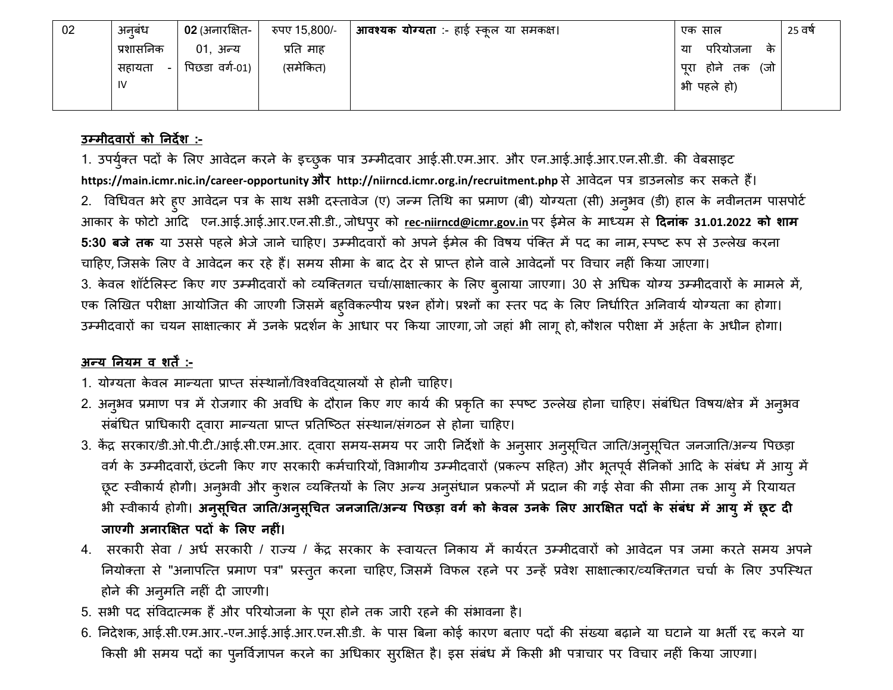| 02 | अनबंध            | 02 (अनारक्षित- | रुपए 15,800/- | <b>आवश्यक योग्यता</b> :- हाई स्कूल या समकक्ष। | एक साल                    | 25 वर्षे |
|----|------------------|----------------|---------------|-----------------------------------------------|---------------------------|----------|
|    | प्रशासनिक        | 01, अन्य       | प्रति माह     |                                               | परियोजना<br>के<br>या      |          |
|    | सहायता<br>$\sim$ | पिछडा वर्ग-01) | (समेकित)      |                                               | (जो<br>होने<br>पूरा<br>तक |          |
|    | IV               |                |               |                                               | भी पहले हो)               |          |
|    |                  |                |               |                                               |                           |          |

### **उम्मीदवािों को ननदेश :-**

1. उपर्युक्त पदों के लिए आवेदन करने के इच्छुक पात्र उम्मीदवार आई.सी.एम.आर. और एन.आई.आई.आर.एन.सी.डी. की वेबसाइट **https://main.icmr.nic.in/career-opportunity औि http://niirncd.icmr.org.in/recruitment.php** से आिेिन पत्र डाउनलोड कर सकर्ते हैं। 2. विधिवत भरे हुए आवेदन पत्र के साथ सभी दस्तावेज (ए) जन्म तिथि का प्रमाण (बी) योग्यता (सी) अनुभव (डी) हाल के नवीनतम पासपोर्ट आकार के फोटो आदि एन.आई.आई.आर.एन.सी.डी., जोधपरु को **rec-niirncd@icmr.gov.in** पर ईमेल के माध्यम से **ददनांक 31.01.2022 को शाम 5:30 बजे तक** या उससे पहले भेजे जाने चाहिए। उम्मीदवारों को अपने ईमेल की विषय पंक्ति में पद का नाम, स्पष्ट रूप से उल्लेख करना चाहिए, जिसके लिए वे आवेदन कर रहे हैं। समय सीमा के बाद देर से प्राप्त होने वाले आवेदनों पर विचार नहीं किया जाएगा। 3. केवल शॉर्टलिस्ट किए गए उम्मीदवारों को व्यक्तिगत चर्चा/साक्षात्कार के लिए ब्लाया जाएगा। 30 से अधिक योग्य उम्मीदवारों के मामले में, एक लिखित परीक्षा आयोजित की जाएगी जिसमें बहुविकल्पीय प्रश्न होंगे। प्रश्नों का स्तर पद के लिए निर्धारित अनिवार्य योग्यता का होगा। उम्मीदवारों का चयन साक्षात्कार में उनके प्रदर्शन के आधार पर किया जाएगा, जो जहां भी लागू हो, कौशल परीक्षा में अर्हता के अधीन होगा।

## **अन्य ननयम व शिें :-**

- 1. योग्यता केवल मान्यता प्राप्त संस्थानों/विश्वविदयालयों से होनी चाहिए।
- 2. अनुभव प्रमाण पत्र में रोजगार की अवधि के दौरान किए गए कार्य की प्रकृति का स्पष्ट उल्लेख होना चाहिए। संबंधित विषय/क्षेत्र में अनुभव संबंधित प्राधिकारी दवारा मान्यता प्राप्त प्रतिष्ठित संस्थान/संगठन से होना चाहिए।
- 3. केंद्र सरकार/डी.ओ.पी.टी./आई.सी.एम.आर. दवारा समय-समय पर जारी निर्देशों के अनुसार अनुसूचित जाति/अनुसूचित जनजाति/अन्य पिछड़ा वर्ग के उम्मीदवारों, छंटनी किए गए सरकारी कर्मचारियों, विभागीय उम्मीदवारों (प्रकल्प सहित) और भूतपूर्व सैनिकों आदि के संबंध में आयु में छूट स्वीकार्य होगी। अनुभवी और कुशल व्यक्तियों के लिए अन्य अनुसंधान प्रकल्पों में प्रदान की गई सेवा की सीमा तक आयु में रियायत भी स्वीकार्य होगी। अनुसूचित जाति/अनुसूचित जनजाति/अन्य पिछड़ा वर्ग को केवल उनके लिए आरक्षित पदों के संबंध में आयु में छूट दी **जाएगी अनाि्षिति पदों के लिए नहीं।**
- 4. सरकारी सेवा / अर्ध सरकारी / राज्य / केंद्र सरकार के स्वायत्त निकाय में कार्यरत उम्मीदवारों को आवेदन पत्र जमा करते समय अपने नियोक्ता से "अनापत्ति प्रमाण पत्र" प्रस्तुत करना चाहिए, जिसमें विफल रहने पर उन्हें प्रवेश साक्षात्कार/व्यक्तिगत चर्चा के लिए उपस्थित होने की अनुमति नहीं दी जाएगी।
- 5. सभी पद संविदात्मक हैं और परियोजना के पूरा होने तक जारी रहने की संभावना है।
- 6. ननिेशक, आई.सी.एम.आर.-एन.आई.आई.आर.एन.सी.डी. के पास त्रबना कोई कारण बर्ताए पिों की संख्या बढाने या घटाने या भर्ती रद्द करने या किसी भी समय पदों का पुनर्विज्ञापन करने का अधिकार सुरक्षित है। इस संबंध में किसी भी पत्राचार पर विचार नहीं किया जाएगा।